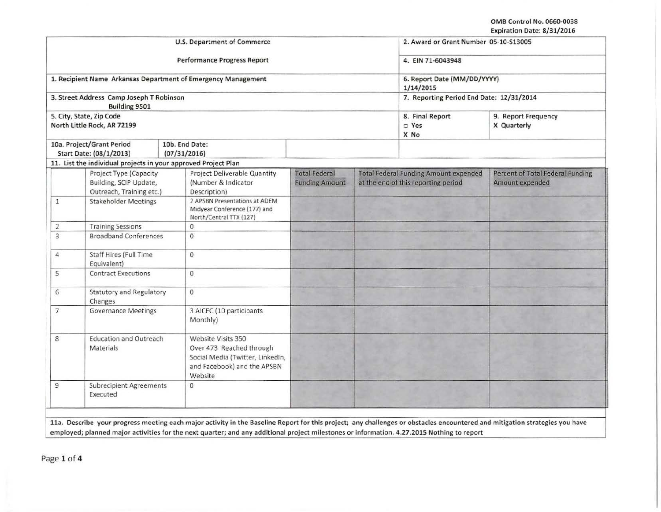OMB Control No. 0660-0038 Expiration Date: 8/31/2016

|                |                                                                              | U.S. Department of Commerce                                                                                                  |                                               | 2. Award or Grant Number 05-10-S13005<br>4. EIN 71-6043948<br>6. Report Date (MM/DD/YYYY)<br>1/14/2015<br>7. Reporting Period End Date: 12/31/2014 |                                                     |  |
|----------------|------------------------------------------------------------------------------|------------------------------------------------------------------------------------------------------------------------------|-----------------------------------------------|----------------------------------------------------------------------------------------------------------------------------------------------------|-----------------------------------------------------|--|
|                |                                                                              | Performance Progress Report                                                                                                  |                                               |                                                                                                                                                    |                                                     |  |
|                | 1. Recipient Name Arkansas Department of Emergency Management                |                                                                                                                              |                                               |                                                                                                                                                    |                                                     |  |
|                | 3. Street Address Camp Joseph T Robinson<br><b>Building 9501</b>             |                                                                                                                              |                                               |                                                                                                                                                    |                                                     |  |
|                | 5. City, State, Zip Code<br>North Little Rock, AR 72199                      |                                                                                                                              | 8. Final Report<br>□ Yes<br>X No              | 9. Report Frequency<br>X Quarterly                                                                                                                 |                                                     |  |
|                | 10a. Project/Grant Period<br>Start Date: (08/1/2013)                         | 10b. End Date:<br>(07/31/2016)                                                                                               |                                               |                                                                                                                                                    |                                                     |  |
|                | 11. List the individual projects in your approved Project Plan               |                                                                                                                              |                                               |                                                                                                                                                    |                                                     |  |
|                | Project Type (Capacity<br>Building, SCIP Update,<br>Outreach, Training etc.) | <b>Project Deliverable Quantity</b><br>(Number & Indicator<br>Description)                                                   | <b>Total Federal</b><br><b>Funding Amount</b> | <b>Total Federal Funding Amount expended</b><br>at the end of this reporting period                                                                | Percent of Total Federal Funding<br>Amount expended |  |
| $\mathbf{1}$   | <b>Stakeholder Meetings</b>                                                  | 2 APSBN Presentations at ADEM<br>Midyear Conference (177) and<br>North/Central TTX (127)                                     |                                               |                                                                                                                                                    |                                                     |  |
| $\overline{c}$ | <b>Training Sessions</b>                                                     | $\mathbf{0}$                                                                                                                 |                                               |                                                                                                                                                    |                                                     |  |
| 3              | <b>Broadband Conferences</b>                                                 | $\circ$                                                                                                                      |                                               |                                                                                                                                                    |                                                     |  |
| $\overline{4}$ | Staff Hires (Full Time<br>Equivalent)                                        | $\circ$                                                                                                                      |                                               |                                                                                                                                                    |                                                     |  |
| 5              | <b>Contract Executions</b>                                                   | 0                                                                                                                            |                                               |                                                                                                                                                    |                                                     |  |
| 6              | <b>Statutory and Regulatory</b><br>Changes                                   | $\mathbf{0}$                                                                                                                 |                                               |                                                                                                                                                    |                                                     |  |
| $\overline{7}$ | <b>Governance Meetings</b>                                                   | 3 AICEC (10 participants<br>Monthly)                                                                                         |                                               |                                                                                                                                                    |                                                     |  |
| 8              | <b>Education and Outreach</b><br>Materials                                   | Website Visits 350<br>Over 473 Reached through<br>Social Media (Twitter, LinkedIn,<br>and Facebook) and the APSBN<br>Website |                                               |                                                                                                                                                    |                                                     |  |
| 9              | <b>Subrecipient Agreements</b><br>Executed                                   | $\Omega$                                                                                                                     |                                               |                                                                                                                                                    |                                                     |  |

employed; planned major activities for the next quarter; and any additional project milestones or information. 4.27.2015 Nothing to report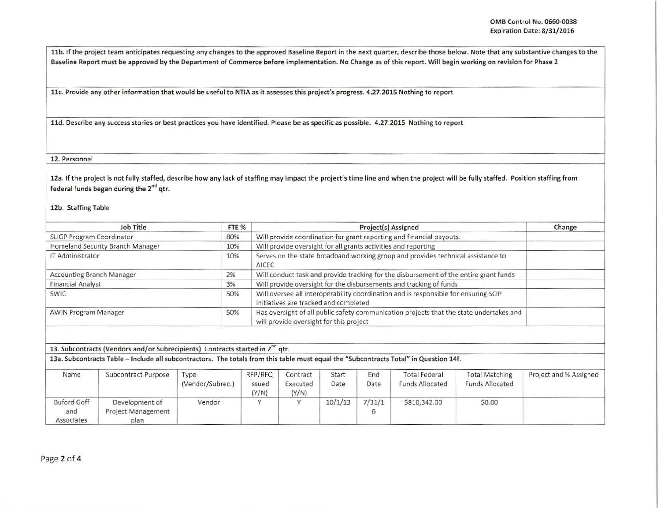11b. If the project team anticipates requesting any changes to the approved Baseline Report in the next quarter, describe those below. Note that any substantive changes to the Baseline Report must be approved by the Department of Commerce before implementation. No Change as of this report. Will begin working on revision for Phase 2

llc. Provide any other information that would be useful to NTIA as it assesses this project's progress. 4.27.2015 Nothing to report

lld. Describe any success stories or best practices you have identified. Please be as specific as possible. 4.27.2015 Nothing to report

12. Personnel

12a. If the project is not fully staffed, describe how any lack of staffing may impact the project's time line and when the project will be fully staffed. Position staffing from federal funds began during the 2<sup>nd</sup> qtr.

12b. Staffing Table

| Job Title                        | FTE % | Project(s) Assigned                                                                                                                | Change |
|----------------------------------|-------|------------------------------------------------------------------------------------------------------------------------------------|--------|
| SLIGP Program Coordinator        | 80%   | Will provide coordination for grant reporting and financial payouts.                                                               |        |
| Homeland Security Branch Manager | 10%   | Will provide oversight for all grants activities and reporting                                                                     |        |
| IT Administrator                 | 10%   | Serves on the state broadband working group and provides technical assistance to<br>AICEC                                          |        |
| <b>Accounting Branch Manager</b> | 2%    | Will conduct task and provide tracking for the disbursement of the entire grant funds                                              |        |
| <b>Financial Analyst</b>         | 3%    | Will provide oversight for the disbursements and tracking of funds                                                                 |        |
| <b>SWIC</b>                      | 50%   | Will oversee all interoperability coordination and is responsible for ensuring SCIP<br>initiatives are tracked and completed       |        |
| <b>AWIN Program Manager</b>      | 50%   | Has oversight of all public safety communication projects that the state undertakes and<br>will provide oversight for this project |        |

13. Subcontracts (Vendors and/or Subrecipients) Contracts started in 2<sup>no</sup> qtr.

13a. Subcontracts Table- Include all subcontractors. The totals from this table must equal the "Subcontracts Total" in Question 14f.

| Name                                    | Subcontract Purpose                                 | Type<br>(Vendor/Subrec.) | RFP/RFQ<br>Issued<br>(Y/N) | Contract<br>Executed<br>(Y/N) | Start<br>Date | End<br>Date | <b>Total Federal</b><br>Funds Allocated | <b>Total Matching</b><br><b>Funds Allocated</b> | Project and % Assigned |
|-----------------------------------------|-----------------------------------------------------|--------------------------|----------------------------|-------------------------------|---------------|-------------|-----------------------------------------|-------------------------------------------------|------------------------|
| <b>Buford Goff</b><br>and<br>Associates | Development of<br><b>Project Management</b><br>plan | Vendor                   |                            |                               | 10/1/13       | 7/31/1      | \$810,342.00                            | \$0.00                                          |                        |

Page *2* of 4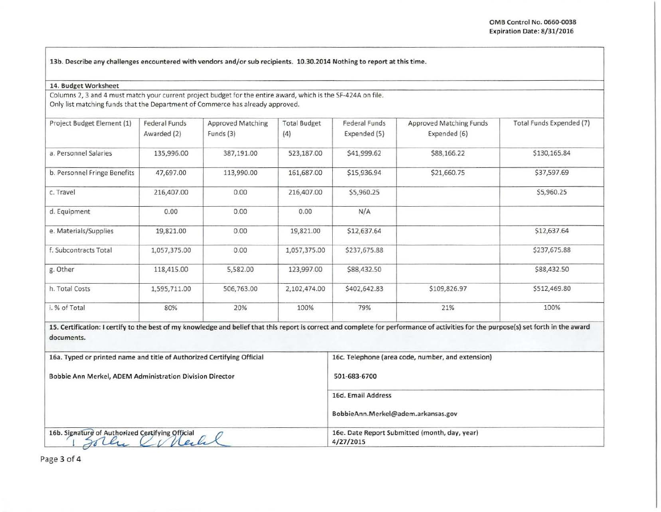13b. Describe any challenges encountered with vendors and/or sub recipients. 10.30.2014 Nothing to report at this time.

## 14. Budget Worksheet

Columns 2, 3 and 4 must match your current project budget for the entire award, which is the SF-424A on file. Only list matching funds that the Department of Commerce has already approved.

| Project Budget Element (1)                                             | Federal Funds<br>Awarded (2) | <b>Approved Matching</b><br>Funds (3) | <b>Total Budget</b><br>(4) | <b>Federal Funds</b><br>Expended (5)              | Approved Matching Funds<br>Expended (6)                                                                                                                                              | Total Funds Expended (7) |  |
|------------------------------------------------------------------------|------------------------------|---------------------------------------|----------------------------|---------------------------------------------------|--------------------------------------------------------------------------------------------------------------------------------------------------------------------------------------|--------------------------|--|
| a. Personnel Salaries                                                  | 135,996.00                   | 387,191.00                            | 523,187.00                 | \$41,999.62                                       | \$88,166.22                                                                                                                                                                          | \$130,165.84             |  |
| b. Personnel Fringe Benefits                                           | 47,697.00                    | 113,990.00                            | 161,687.00                 | \$15,936.94                                       | \$21,660.75                                                                                                                                                                          | \$37,597.69              |  |
| c. Travel                                                              | 216,407.00                   | 0.00                                  | 216,407.00                 | \$5,960.25                                        |                                                                                                                                                                                      | \$5,960.25               |  |
| d. Equipment                                                           | 0.00                         | 0.00                                  | 0.00                       | N/A                                               |                                                                                                                                                                                      |                          |  |
| e. Materials/Supplies                                                  | 19,821.00                    | 0.00                                  | 19,821.00                  | \$12,637.64                                       |                                                                                                                                                                                      | \$12,637.64              |  |
| f. Subcontracts Total                                                  | 1,057,375.00                 | 0.00                                  | 1,057,375.00               | \$237,675.88                                      |                                                                                                                                                                                      | \$237,675.88             |  |
| g. Other                                                               | 118,415.00                   | 5,582.00                              | 123,997.00                 | \$88,432.50                                       |                                                                                                                                                                                      | \$88,432.50              |  |
| h. Total Costs                                                         | 1,595,711.00                 | 506,763.00                            | 2,102,474.00               | \$402,642.83                                      | \$109,826.97                                                                                                                                                                         | \$512,469.80             |  |
| i. % of Total                                                          | 80%                          | 20%                                   | 100%                       | 79%                                               | 21%                                                                                                                                                                                  | 100%                     |  |
| documents.                                                             |                              |                                       |                            |                                                   | 15. Certification: I certify to the best of my knowledge and belief that this report is correct and complete for performance of activities for the purpose(s) set forth in the award |                          |  |
| 16a. Typed or printed name and title of Authorized Certifying Official |                              |                                       |                            | 16c. Telephone (area code, number, and extension) |                                                                                                                                                                                      |                          |  |
| <b>Bobbie Ann Merkel, ADEM Administration Division Director</b>        |                              |                                       |                            | 501-683-6700                                      |                                                                                                                                                                                      |                          |  |
|                                                                        |                              |                                       | 16d. Email Address         |                                                   |                                                                                                                                                                                      |                          |  |

|                                                  | BobbieAnn.Merkel@adem.arkansas.gov                         |  |  |  |
|--------------------------------------------------|------------------------------------------------------------|--|--|--|
| 16b. Signature of Authorized Certifying Official | 16e. Date Report Submitted (month, day, year)<br>4/27/2015 |  |  |  |

Page 3 of 4